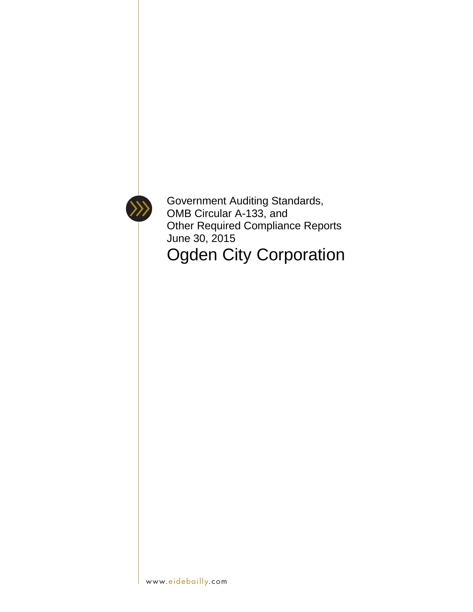

Government Auditing Standards, OMB Circular A-133, and Other Required Compliance Reports June 30, 2015 Ogden City Corporation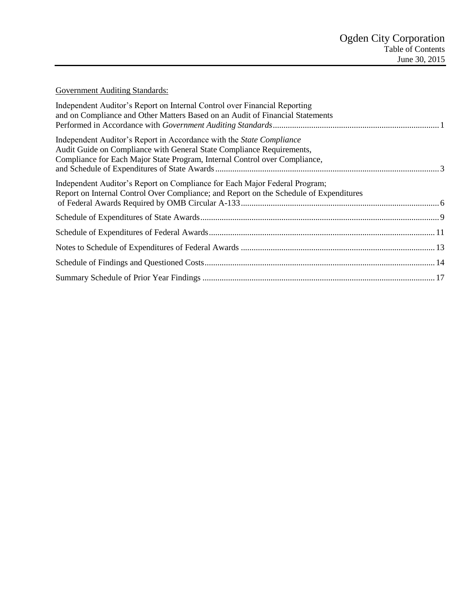# Government Auditing Standards:

| Independent Auditor's Report on Internal Control over Financial Reporting<br>and on Compliance and Other Matters Based on an Audit of Financial Statements                                                                         |  |
|------------------------------------------------------------------------------------------------------------------------------------------------------------------------------------------------------------------------------------|--|
| Independent Auditor's Report in Accordance with the <i>State Compliance</i><br>Audit Guide on Compliance with General State Compliance Requirements,<br>Compliance for Each Major State Program, Internal Control over Compliance, |  |
| Independent Auditor's Report on Compliance for Each Major Federal Program;<br>Report on Internal Control Over Compliance; and Report on the Schedule of Expenditures                                                               |  |
|                                                                                                                                                                                                                                    |  |
|                                                                                                                                                                                                                                    |  |
|                                                                                                                                                                                                                                    |  |
|                                                                                                                                                                                                                                    |  |
|                                                                                                                                                                                                                                    |  |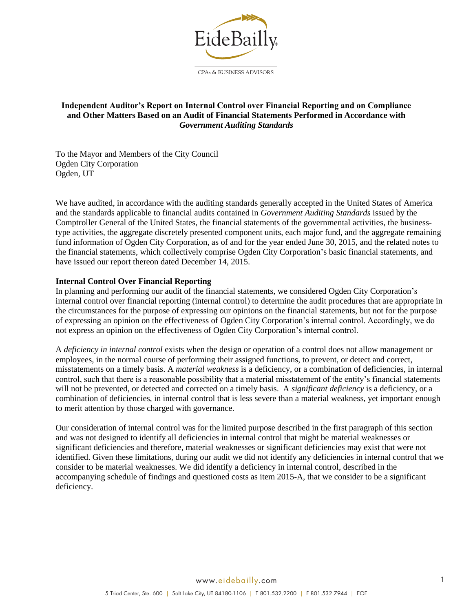

#### <span id="page-2-0"></span>**Independent Auditor's Report on Internal Control over Financial Reporting and on Compliance and Other Matters Based on an Audit of Financial Statements Performed in Accordance with**  *Government Auditing Standards*

To the Mayor and Members of the City Council Ogden City Corporation Ogden, UT

We have audited, in accordance with the auditing standards generally accepted in the United States of America and the standards applicable to financial audits contained in *Government Auditing Standards* issued by the Comptroller General of the United States, the financial statements of the governmental activities, the businesstype activities, the aggregate discretely presented component units, each major fund, and the aggregate remaining fund information of Ogden City Corporation, as of and for the year ended June 30, 2015, and the related notes to the financial statements, which collectively comprise Ogden City Corporation's basic financial statements, and have issued our report thereon dated December 14, 2015.

#### **Internal Control Over Financial Reporting**

In planning and performing our audit of the financial statements, we considered Ogden City Corporation's internal control over financial reporting (internal control) to determine the audit procedures that are appropriate in the circumstances for the purpose of expressing our opinions on the financial statements, but not for the purpose of expressing an opinion on the effectiveness of Ogden City Corporation's internal control. Accordingly, we do not express an opinion on the effectiveness of Ogden City Corporation's internal control.

A *deficiency in internal control* exists when the design or operation of a control does not allow management or employees, in the normal course of performing their assigned functions, to prevent, or detect and correct, misstatements on a timely basis. A *material weakness* is a deficiency, or a combination of deficiencies, in internal control, such that there is a reasonable possibility that a material misstatement of the entity's financial statements will not be prevented, or detected and corrected on a timely basis. A *significant deficiency* is a deficiency, or a combination of deficiencies, in internal control that is less severe than a material weakness, yet important enough to merit attention by those charged with governance.

Our consideration of internal control was for the limited purpose described in the first paragraph of this section and was not designed to identify all deficiencies in internal control that might be material weaknesses or significant deficiencies and therefore, material weaknesses or significant deficiencies may exist that were not identified. Given these limitations, during our audit we did not identify any deficiencies in internal control that we consider to be material weaknesses. We did identify a deficiency in internal control, described in the accompanying schedule of findings and questioned costs as item 2015-A, that we consider to be a significant deficiency.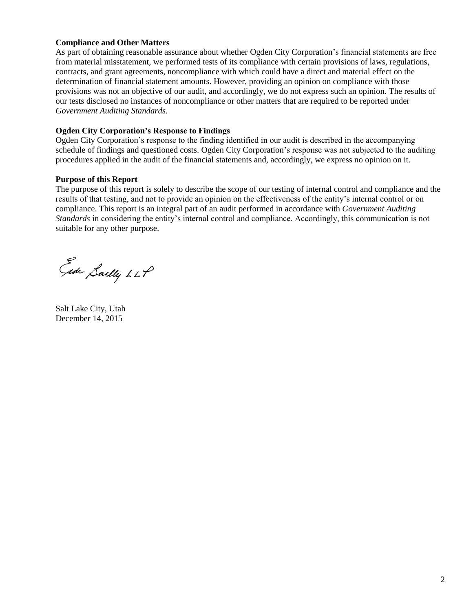### **Compliance and Other Matters**

As part of obtaining reasonable assurance about whether Ogden City Corporation's financial statements are free from material misstatement, we performed tests of its compliance with certain provisions of laws, regulations, contracts, and grant agreements, noncompliance with which could have a direct and material effect on the determination of financial statement amounts. However, providing an opinion on compliance with those provisions was not an objective of our audit, and accordingly, we do not express such an opinion. The results of our tests disclosed no instances of noncompliance or other matters that are required to be reported under *Government Auditing Standards.*

#### **Ogden City Corporation's Response to Findings**

Ogden City Corporation's response to the finding identified in our audit is described in the accompanying schedule of findings and questioned costs. Ogden City Corporation's response was not subjected to the auditing procedures applied in the audit of the financial statements and, accordingly, we express no opinion on it.

#### **Purpose of this Report**

The purpose of this report is solely to describe the scope of our testing of internal control and compliance and the results of that testing, and not to provide an opinion on the effectiveness of the entity's internal control or on compliance. This report is an integral part of an audit performed in accordance with *Government Auditing Standards* in considering the entity's internal control and compliance. Accordingly, this communication is not suitable for any other purpose.

Eade Saelly LLP

Salt Lake City, Utah December 14, 2015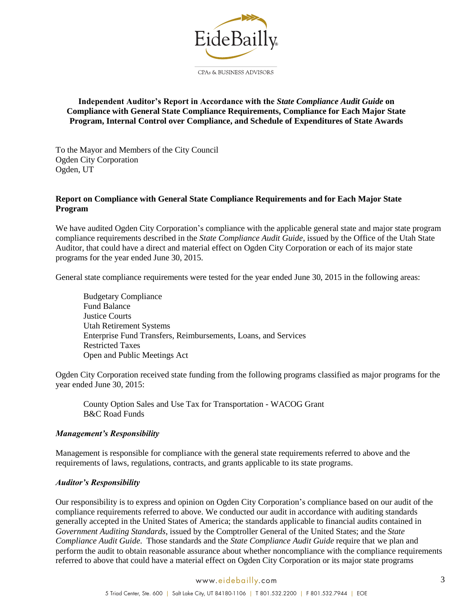

#### <span id="page-4-0"></span>**Independent Auditor's Report in Accordance with the** *State Compliance Audit Guide* **on Compliance with General State Compliance Requirements, Compliance for Each Major State Program, Internal Control over Compliance, and Schedule of Expenditures of State Awards**

To the Mayor and Members of the City Council Ogden City Corporation Ogden, UT

#### **Report on Compliance with General State Compliance Requirements and for Each Major State Program**

We have audited Ogden City Corporation's compliance with the applicable general state and major state program compliance requirements described in the *State Compliance Audit Guide*, issued by the Office of the Utah State Auditor, that could have a direct and material effect on Ogden City Corporation or each of its major state programs for the year ended June 30, 2015.

General state compliance requirements were tested for the year ended June 30, 2015 in the following areas:

Budgetary Compliance Fund Balance Justice Courts Utah Retirement Systems Enterprise Fund Transfers, Reimbursements, Loans, and Services Restricted Taxes Open and Public Meetings Act

Ogden City Corporation received state funding from the following programs classified as major programs for the year ended June 30, 2015:

 County Option Sales and Use Tax for Transportation - WACOG Grant B&C Road Funds

#### *Management's Responsibility*

Management is responsible for compliance with the general state requirements referred to above and the requirements of laws, regulations, contracts, and grants applicable to its state programs.

#### *Auditor's Responsibility*

Our responsibility is to express and opinion on Ogden City Corporation's compliance based on our audit of the compliance requirements referred to above. We conducted our audit in accordance with auditing standards generally accepted in the United States of America; the standards applicable to financial audits contained in *Government Auditing Standards*, issued by the Comptroller General of the United States; and the *State Compliance Audit Guide*. Those standards and the *State Compliance Audit Guide* require that we plan and perform the audit to obtain reasonable assurance about whether noncompliance with the compliance requirements referred to above that could have a material effect on Ogden City Corporation or its major state programs

#### www.eidebailly.com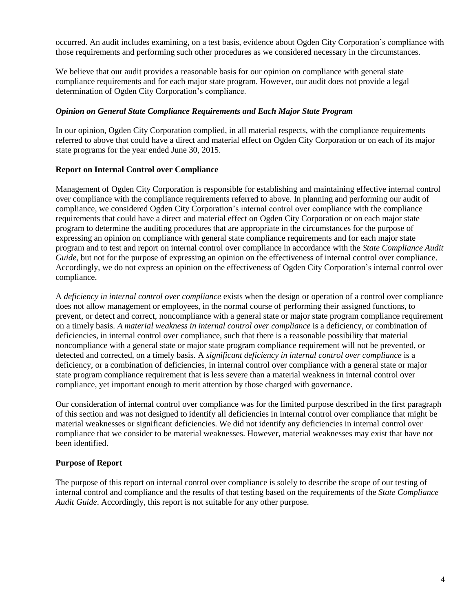occurred. An audit includes examining, on a test basis, evidence about Ogden City Corporation's compliance with those requirements and performing such other procedures as we considered necessary in the circumstances.

We believe that our audit provides a reasonable basis for our opinion on compliance with general state compliance requirements and for each major state program. However, our audit does not provide a legal determination of Ogden City Corporation's compliance.

#### *Opinion on General State Compliance Requirements and Each Major State Program*

In our opinion, Ogden City Corporation complied, in all material respects, with the compliance requirements referred to above that could have a direct and material effect on Ogden City Corporation or on each of its major state programs for the year ended June 30, 2015.

#### **Report on Internal Control over Compliance**

Management of Ogden City Corporation is responsible for establishing and maintaining effective internal control over compliance with the compliance requirements referred to above. In planning and performing our audit of compliance, we considered Ogden City Corporation's internal control over compliance with the compliance requirements that could have a direct and material effect on Ogden City Corporation or on each major state program to determine the auditing procedures that are appropriate in the circumstances for the purpose of expressing an opinion on compliance with general state compliance requirements and for each major state program and to test and report on internal control over compliance in accordance with the *State Compliance Audit Guide*, but not for the purpose of expressing an opinion on the effectiveness of internal control over compliance. Accordingly, we do not express an opinion on the effectiveness of Ogden City Corporation's internal control over compliance.

A *deficiency in internal control over compliance* exists when the design or operation of a control over compliance does not allow management or employees, in the normal course of performing their assigned functions, to prevent, or detect and correct, noncompliance with a general state or major state program compliance requirement on a timely basis. *A material weakness in internal control over compliance* is a deficiency, or combination of deficiencies, in internal control over compliance, such that there is a reasonable possibility that material noncompliance with a general state or major state program compliance requirement will not be prevented, or detected and corrected, on a timely basis. A *significant deficiency in internal control over compliance* is a deficiency, or a combination of deficiencies, in internal control over compliance with a general state or major state program compliance requirement that is less severe than a material weakness in internal control over compliance, yet important enough to merit attention by those charged with governance.

Our consideration of internal control over compliance was for the limited purpose described in the first paragraph of this section and was not designed to identify all deficiencies in internal control over compliance that might be material weaknesses or significant deficiencies. We did not identify any deficiencies in internal control over compliance that we consider to be material weaknesses. However, material weaknesses may exist that have not been identified.

#### **Purpose of Report**

The purpose of this report on internal control over compliance is solely to describe the scope of our testing of internal control and compliance and the results of that testing based on the requirements of the *State Compliance Audit Guide*. Accordingly, this report is not suitable for any other purpose.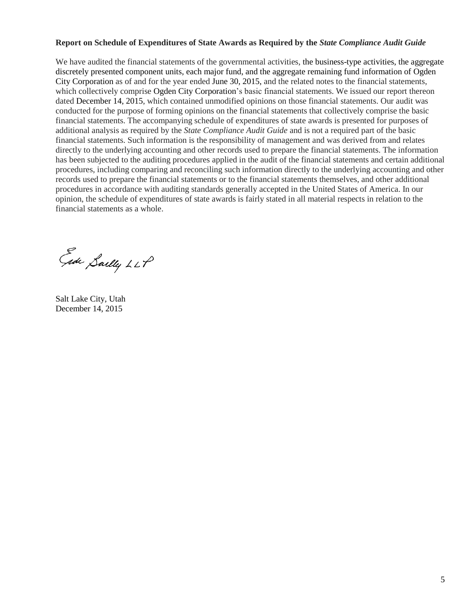#### **Report on Schedule of Expenditures of State Awards as Required by the** *State Compliance Audit Guide*

We have audited the financial statements of the governmental activities, the business-type activities, the aggregate discretely presented component units, each major fund, and the aggregate remaining fund information of Ogden City Corporation as of and for the year ended June 30, 2015, and the related notes to the financial statements, which collectively comprise Ogden City Corporation's basic financial statements. We issued our report thereon dated December 14, 2015, which contained unmodified opinions on those financial statements. Our audit was conducted for the purpose of forming opinions on the financial statements that collectively comprise the basic financial statements. The accompanying schedule of expenditures of state awards is presented for purposes of additional analysis as required by the *State Compliance Audit Guide* and is not a required part of the basic financial statements. Such information is the responsibility of management and was derived from and relates directly to the underlying accounting and other records used to prepare the financial statements. The information has been subjected to the auditing procedures applied in the audit of the financial statements and certain additional procedures, including comparing and reconciling such information directly to the underlying accounting and other records used to prepare the financial statements or to the financial statements themselves, and other additional procedures in accordance with auditing standards generally accepted in the United States of America. In our opinion, the schedule of expenditures of state awards is fairly stated in all material respects in relation to the financial statements as a whole.

Ede Sailly LLP

Salt Lake City, Utah December 14, 2015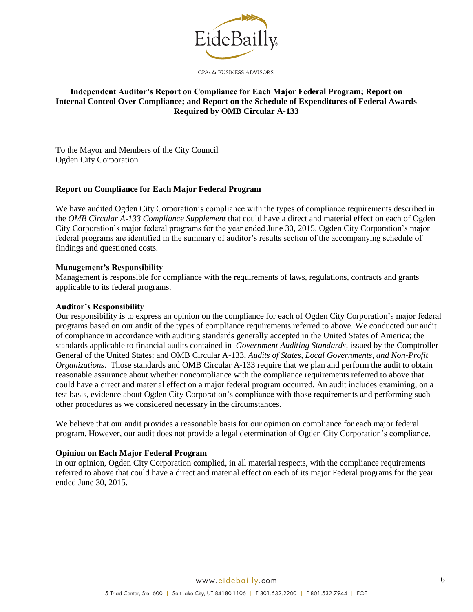

## <span id="page-7-0"></span>**Independent Auditor's Report on Compliance for Each Major Federal Program; Report on Internal Control Over Compliance; and Report on the Schedule of Expenditures of Federal Awards Required by OMB Circular A-133**

To the Mayor and Members of the City Council Ogden City Corporation

### **Report on Compliance for Each Major Federal Program**

We have audited Ogden City Corporation's compliance with the types of compliance requirements described in the *OMB Circular A-133 Compliance Supplement* that could have a direct and material effect on each of Ogden City Corporation's major federal programs for the year ended June 30, 2015. Ogden City Corporation's major federal programs are identified in the summary of auditor's results section of the accompanying schedule of findings and questioned costs.

#### **Management's Responsibility**

Management is responsible for compliance with the requirements of laws, regulations, contracts and grants applicable to its federal programs.

#### **Auditor's Responsibility**

Our responsibility is to express an opinion on the compliance for each of Ogden City Corporation's major federal programs based on our audit of the types of compliance requirements referred to above. We conducted our audit of compliance in accordance with auditing standards generally accepted in the United States of America; the standards applicable to financial audits contained in *Government Auditing Standards*, issued by the Comptroller General of the United States; and OMB Circular A-133, *Audits of States, Local Governments, and Non-Profit Organizations*. Those standards and OMB Circular A-133 require that we plan and perform the audit to obtain reasonable assurance about whether noncompliance with the compliance requirements referred to above that could have a direct and material effect on a major federal program occurred. An audit includes examining, on a test basis, evidence about Ogden City Corporation's compliance with those requirements and performing such other procedures as we considered necessary in the circumstances.

We believe that our audit provides a reasonable basis for our opinion on compliance for each major federal program. However, our audit does not provide a legal determination of Ogden City Corporation's compliance.

#### **Opinion on Each Major Federal Program**

In our opinion, Ogden City Corporation complied, in all material respects, with the compliance requirements referred to above that could have a direct and material effect on each of its major Federal programs for the year ended June 30, 2015.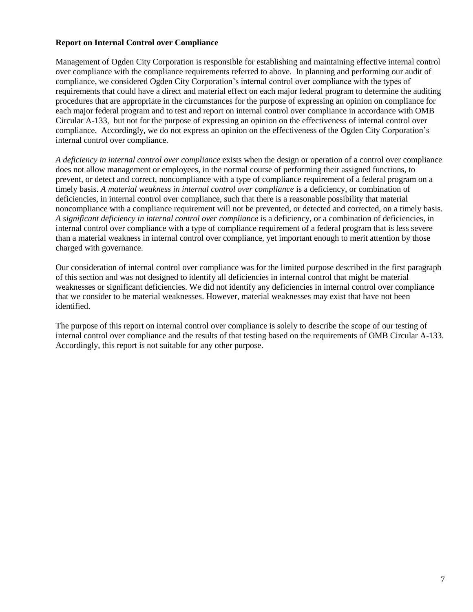### **Report on Internal Control over Compliance**

Management of Ogden City Corporation is responsible for establishing and maintaining effective internal control over compliance with the compliance requirements referred to above. In planning and performing our audit of compliance, we considered Ogden City Corporation's internal control over compliance with the types of requirements that could have a direct and material effect on each major federal program to determine the auditing procedures that are appropriate in the circumstances for the purpose of expressing an opinion on compliance for each major federal program and to test and report on internal control over compliance in accordance with OMB Circular A-133, but not for the purpose of expressing an opinion on the effectiveness of internal control over compliance. Accordingly, we do not express an opinion on the effectiveness of the Ogden City Corporation's internal control over compliance.

*A deficiency in internal control over compliance* exists when the design or operation of a control over compliance does not allow management or employees, in the normal course of performing their assigned functions, to prevent, or detect and correct, noncompliance with a type of compliance requirement of a federal program on a timely basis. *A material weakness in internal control over compliance* is a deficiency, or combination of deficiencies, in internal control over compliance, such that there is a reasonable possibility that material noncompliance with a compliance requirement will not be prevented, or detected and corrected, on a timely basis. *A significant deficiency in internal control over compliance* is a deficiency, or a combination of deficiencies, in internal control over compliance with a type of compliance requirement of a federal program that is less severe than a material weakness in internal control over compliance, yet important enough to merit attention by those charged with governance.

Our consideration of internal control over compliance was for the limited purpose described in the first paragraph of this section and was not designed to identify all deficiencies in internal control that might be material weaknesses or significant deficiencies. We did not identify any deficiencies in internal control over compliance that we consider to be material weaknesses. However, material weaknesses may exist that have not been identified.

The purpose of this report on internal control over compliance is solely to describe the scope of our testing of internal control over compliance and the results of that testing based on the requirements of OMB Circular A-133. Accordingly, this report is not suitable for any other purpose.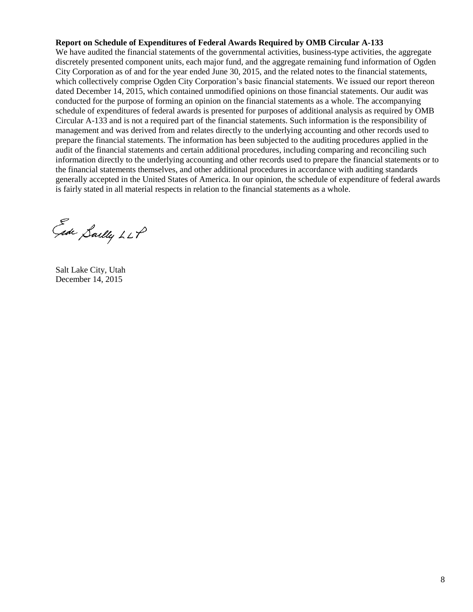#### **Report on Schedule of Expenditures of Federal Awards Required by OMB Circular A-133**

We have audited the financial statements of the governmental activities, business-type activities, the aggregate discretely presented component units, each major fund, and the aggregate remaining fund information of Ogden City Corporation as of and for the year ended June 30, 2015, and the related notes to the financial statements, which collectively comprise Ogden City Corporation's basic financial statements. We issued our report thereon dated December 14, 2015, which contained unmodified opinions on those financial statements. Our audit was conducted for the purpose of forming an opinion on the financial statements as a whole. The accompanying schedule of expenditures of federal awards is presented for purposes of additional analysis as required by OMB Circular A-133 and is not a required part of the financial statements. Such information is the responsibility of management and was derived from and relates directly to the underlying accounting and other records used to prepare the financial statements. The information has been subjected to the auditing procedures applied in the audit of the financial statements and certain additional procedures, including comparing and reconciling such information directly to the underlying accounting and other records used to prepare the financial statements or to the financial statements themselves, and other additional procedures in accordance with auditing standards generally accepted in the United States of America. In our opinion, the schedule of expenditure of federal awards is fairly stated in all material respects in relation to the financial statements as a whole.

Eade Sailly LLP

Salt Lake City, Utah December 14, 2015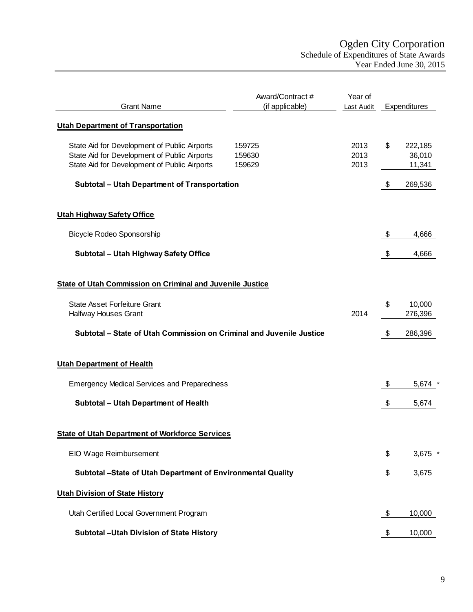<span id="page-10-0"></span>

| <b>Grant Name</b>                                                                                                                            | Award/Contract #<br>(if applicable) | Year of<br>Last Audit | Expenditures                      |
|----------------------------------------------------------------------------------------------------------------------------------------------|-------------------------------------|-----------------------|-----------------------------------|
| <b>Utah Department of Transportation</b>                                                                                                     |                                     |                       |                                   |
| State Aid for Development of Public Airports<br>State Aid for Development of Public Airports<br>State Aid for Development of Public Airports | 159725<br>159630<br>159629          | 2013<br>2013<br>2013  | \$<br>222,185<br>36,010<br>11,341 |
| <b>Subtotal - Utah Department of Transportation</b>                                                                                          |                                     |                       | \$<br>269,536                     |
| <b>Utah Highway Safety Office</b>                                                                                                            |                                     |                       |                                   |
| <b>Bicycle Rodeo Sponsorship</b>                                                                                                             |                                     |                       | \$<br>4,666                       |
| Subtotal - Utah Highway Safety Office                                                                                                        |                                     |                       | \$<br>4,666                       |
| <b>State of Utah Commission on Criminal and Juvenile Justice</b>                                                                             |                                     |                       |                                   |
| <b>State Asset Forfeiture Grant</b><br>Halfway Houses Grant                                                                                  |                                     | 2014                  | \$<br>10,000<br>276,396           |
| Subtotal - State of Utah Commission on Criminal and Juvenile Justice                                                                         |                                     |                       | \$<br>286,396                     |
| <b>Utah Department of Health</b>                                                                                                             |                                     |                       |                                   |
| <b>Emergency Medical Services and Preparedness</b>                                                                                           |                                     |                       | \$<br>5,674                       |
| Subtotal - Utah Department of Health                                                                                                         |                                     |                       | \$<br>5,674                       |
| <b>State of Utah Department of Workforce Services</b>                                                                                        |                                     |                       |                                   |
| <b>EIO Wage Reimbursement</b>                                                                                                                |                                     |                       | \$<br>$3,675$ *                   |
| Subtotal -State of Utah Department of Environmental Quality                                                                                  |                                     |                       | \$<br>3,675                       |
| <b>Utah Division of State History</b>                                                                                                        |                                     |                       |                                   |
| Utah Certified Local Government Program                                                                                                      |                                     |                       | \$<br>10,000                      |
| Subtotal -Utah Division of State History                                                                                                     |                                     |                       | \$<br>10,000                      |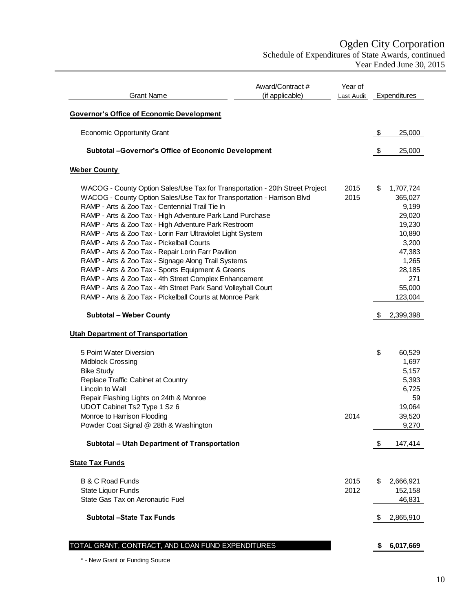# Ogden City Corporation

Schedule of Expenditures of State Awards, continued Year Ended June 30, 2015

| <b>Grant Name</b>                                                                                                                                                                                                                                                                                                                                                                                                                                                                                                                                                                                                                                                                                                                                                                                   | Award/Contract#<br>(if applicable) | Year of<br>Last Audit |    | Expenditures                                                                                                                  |
|-----------------------------------------------------------------------------------------------------------------------------------------------------------------------------------------------------------------------------------------------------------------------------------------------------------------------------------------------------------------------------------------------------------------------------------------------------------------------------------------------------------------------------------------------------------------------------------------------------------------------------------------------------------------------------------------------------------------------------------------------------------------------------------------------------|------------------------------------|-----------------------|----|-------------------------------------------------------------------------------------------------------------------------------|
| <b>Governor's Office of Economic Development</b>                                                                                                                                                                                                                                                                                                                                                                                                                                                                                                                                                                                                                                                                                                                                                    |                                    |                       |    |                                                                                                                               |
| <b>Economic Opportunity Grant</b>                                                                                                                                                                                                                                                                                                                                                                                                                                                                                                                                                                                                                                                                                                                                                                   |                                    |                       | \$ | 25,000                                                                                                                        |
| Subtotal - Governor's Office of Economic Development                                                                                                                                                                                                                                                                                                                                                                                                                                                                                                                                                                                                                                                                                                                                                |                                    |                       | \$ | 25,000                                                                                                                        |
| <b>Weber County</b>                                                                                                                                                                                                                                                                                                                                                                                                                                                                                                                                                                                                                                                                                                                                                                                 |                                    |                       |    |                                                                                                                               |
| WACOG - County Option Sales/Use Tax for Transportation - 20th Street Project<br>WACOG - County Option Sales/Use Tax for Transportation - Harrison Blvd<br>RAMP - Arts & Zoo Tax - Centennial Trail Tie In<br>RAMP - Arts & Zoo Tax - High Adventure Park Land Purchase<br>RAMP - Arts & Zoo Tax - High Adventure Park Restroom<br>RAMP - Arts & Zoo Tax - Lorin Farr Ultraviolet Light System<br>RAMP - Arts & Zoo Tax - Pickelball Courts<br>RAMP - Arts & Zoo Tax - Repair Lorin Farr Pavilion<br>RAMP - Arts & Zoo Tax - Signage Along Trail Systems<br>RAMP - Arts & Zoo Tax - Sports Equipment & Greens<br>RAMP - Arts & Zoo Tax - 4th Street Complex Enhancement<br>RAMP - Arts & Zoo Tax - 4th Street Park Sand Volleyball Court<br>RAMP - Arts & Zoo Tax - Pickelball Courts at Monroe Park |                                    | 2015<br>2015          | \$ | 1,707,724<br>365,027<br>9,199<br>29,020<br>19,230<br>10,890<br>3,200<br>47,383<br>1,265<br>28,185<br>271<br>55,000<br>123,004 |
| <b>Subtotal - Weber County</b>                                                                                                                                                                                                                                                                                                                                                                                                                                                                                                                                                                                                                                                                                                                                                                      |                                    |                       | \$ | 2,399,398                                                                                                                     |
| <b>Utah Department of Transportation</b>                                                                                                                                                                                                                                                                                                                                                                                                                                                                                                                                                                                                                                                                                                                                                            |                                    |                       |    |                                                                                                                               |
| 5 Point Water Diversion<br>Midblock Crossing<br><b>Bike Study</b><br>Replace Traffic Cabinet at Country<br>Lincoln to Wall<br>Repair Flashing Lights on 24th & Monroe<br>UDOT Cabinet Ts2 Type 1 Sz 6<br>Monroe to Harrison Flooding<br>Powder Coat Signal @ 28th & Washington                                                                                                                                                                                                                                                                                                                                                                                                                                                                                                                      |                                    | 2014                  | \$ | 60,529<br>1,697<br>5,157<br>5,393<br>6,725<br>59<br>19,064<br>39,520<br>9,270                                                 |
| Subtotal - Utah Department of Transportation                                                                                                                                                                                                                                                                                                                                                                                                                                                                                                                                                                                                                                                                                                                                                        |                                    |                       | \$ | 147,414                                                                                                                       |
| <b>State Tax Funds</b>                                                                                                                                                                                                                                                                                                                                                                                                                                                                                                                                                                                                                                                                                                                                                                              |                                    |                       |    |                                                                                                                               |
| <b>B &amp; C Road Funds</b><br>State Liquor Funds<br>State Gas Tax on Aeronautic Fuel                                                                                                                                                                                                                                                                                                                                                                                                                                                                                                                                                                                                                                                                                                               |                                    | 2015<br>2012          | S  | 2,666,921<br>152,158<br>46,831                                                                                                |
| <b>Subtotal -State Tax Funds</b>                                                                                                                                                                                                                                                                                                                                                                                                                                                                                                                                                                                                                                                                                                                                                                    |                                    |                       | \$ | 2,865,910                                                                                                                     |
| TOTAL GRANT, CONTRACT, AND LOAN FUND EXPENDITURES                                                                                                                                                                                                                                                                                                                                                                                                                                                                                                                                                                                                                                                                                                                                                   |                                    |                       | \$ | 6,017,669                                                                                                                     |

\* - New Grant or Funding Source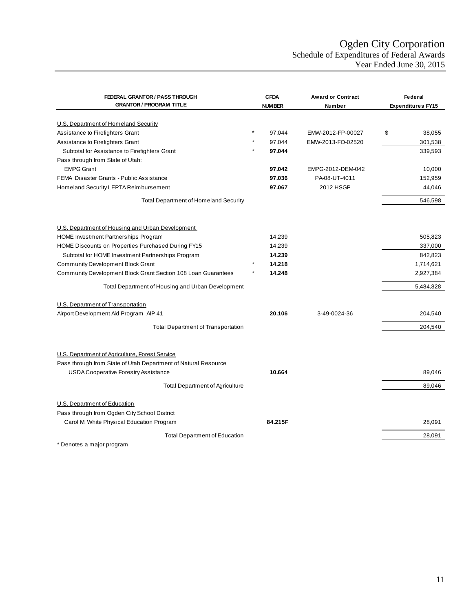## Ogden City Corporation Schedule of Expenditures of Federal Awards Year Ended June 30, 2015

<span id="page-12-0"></span>

| FEDERAL GRANTOR / PASS THROUGH                                           | <b>CFDA</b>   | <b>Award or Contract</b> | Federal                  |
|--------------------------------------------------------------------------|---------------|--------------------------|--------------------------|
| <b>GRANTOR / PROGRAM TITLE</b>                                           | <b>NUMBER</b> | <b>Number</b>            | <b>Expenditures FY15</b> |
|                                                                          |               |                          |                          |
| U.S. Department of Homeland Security<br>Assistance to Firefighters Grant | 97.044        | EMW-2012-FP-00027        | \$<br>38,055             |
| Assistance to Firefighters Grant                                         | 97.044        | EMW-2013-FO-02520        | 301,538                  |
| Subtotal for Assistance to Firefighters Grant                            | 97.044        |                          | 339,593                  |
| Pass through from State of Utah:                                         |               |                          |                          |
| <b>EMPG Grant</b>                                                        | 97.042        | EMPG-2012-DEM-042        | 10,000                   |
| FEMA Disaster Grants - Public Assistance                                 | 97.036        | PA-08-UT-4011            | 152,959                  |
| Homeland Security LEPTA Reimbursement                                    | 97.067        | 2012 HSGP                | 44,046                   |
|                                                                          |               |                          |                          |
| <b>Total Department of Homeland Security</b>                             |               |                          | 546,598                  |
|                                                                          |               |                          |                          |
| U.S. Department of Housing and Urban Development                         |               |                          |                          |
| HOME Investment Partnerships Program                                     | 14.239        |                          | 505,823                  |
| HOME Discounts on Properties Purchased During FY15                       | 14.239        |                          | 337,000                  |
| Subtotal for HOME Investment Partnerships Program                        | 14.239        |                          | 842,823                  |
| <b>Community Development Block Grant</b>                                 | 14.218        |                          | 1,714,621                |
| Community Development Block Grant Section 108 Loan Guarantees            | 14.248        |                          | 2,927,384                |
| Total Department of Housing and Urban Development                        |               |                          | 5,484,828                |
| U.S. Department of Transportation                                        |               |                          |                          |
| Airport Development Aid Program AIP 41                                   | 20.106        | 3-49-0024-36             | 204,540                  |
|                                                                          |               |                          |                          |
| <b>Total Department of Transportation</b>                                |               |                          | 204,540                  |
|                                                                          |               |                          |                          |
| U.S. Department of Agriculture, Forest Service                           |               |                          |                          |
| Pass through from State of Utah Department of Natural Resource           |               |                          |                          |
| <b>USDA Cooperative Forestry Assistance</b>                              | 10.664        |                          | 89,046                   |
|                                                                          |               |                          |                          |
| <b>Total Department of Agriculture</b>                                   |               |                          | 89,046                   |
| U.S. Department of Education                                             |               |                          |                          |
| Pass through from Ogden City School District                             |               |                          |                          |
| Carol M. White Physical Education Program                                | 84.215F       |                          | 28,091                   |
| <b>Total Department of Education</b>                                     |               |                          | 28,091                   |
| Denotes a major program                                                  |               |                          |                          |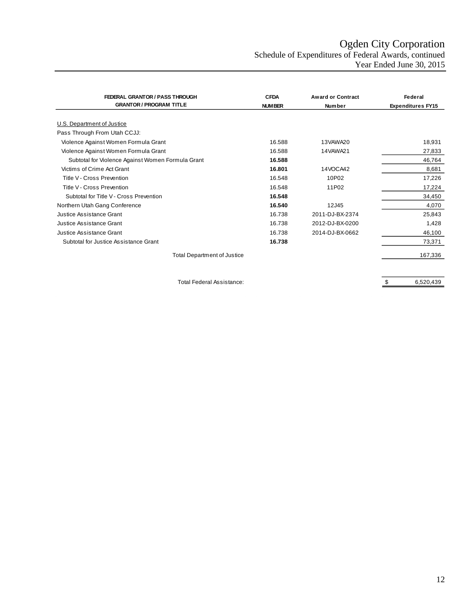# Ogden City Corporation Schedule of Expenditures of Federal Awards, continued

Year Ended June 30, 2015

| <b>FEDERAL GRANTOR / PASS THROUGH</b>             | <b>CFDA</b>   | <b>Award or Contract</b> | Federal                  |
|---------------------------------------------------|---------------|--------------------------|--------------------------|
| <b>GRANTOR / PROGRAM TITLE</b>                    | <b>NUMBER</b> | <b>Number</b>            | <b>Expenditures FY15</b> |
| U.S. Department of Justice                        |               |                          |                          |
| Pass Through From Utah CCJJ:                      |               |                          |                          |
| Violence Against Women Formula Grant              | 16.588        | 13VAWA20                 | 18,931                   |
| Violence Against Women Formula Grant              | 16.588        | 14VAWA21                 | 27,833                   |
| Subtotal for Violence Against Women Formula Grant | 16.588        |                          | 46,764                   |
| Victims of Crime Act Grant                        | 16.801        | 14VOCA42                 | 8,681                    |
| Title V - Cross Prevention                        | 16.548        | 10P02                    | 17,226                   |
| Title V - Cross Prevention                        | 16.548        | 11P02                    | 17,224                   |
| Subtotal for Title V - Cross Prevention           | 16.548        |                          | 34,450                   |
| Northern Utah Gang Conference                     | 16.540        | 12J45                    | 4,070                    |
| Justice Assistance Grant                          | 16.738        | 2011-DJ-BX-2374          | 25,843                   |
| Justice Assistance Grant                          | 16.738        | 2012-DJ-BX-0200          | 1,428                    |
| Justice Assistance Grant                          | 16.738        | 2014-DJ-BX-0662          | 46,100                   |
| Subtotal for Justice Assistance Grant             | 16.738        |                          | 73,371                   |
| <b>Total Department of Justice</b>                |               |                          | 167,336                  |

Total Federal Assistance:  $\frac{1}{100}$  and  $\frac{1}{100}$  and  $\frac{1}{100}$  and  $\frac{1}{100}$  and  $\frac{1}{100}$  and  $\frac{1}{100}$  and  $\frac{1}{100}$  and  $\frac{1}{100}$  and  $\frac{1}{100}$  and  $\frac{1}{100}$  and  $\frac{1}{100}$  and  $\frac{1}{100}$  and  $\frac{$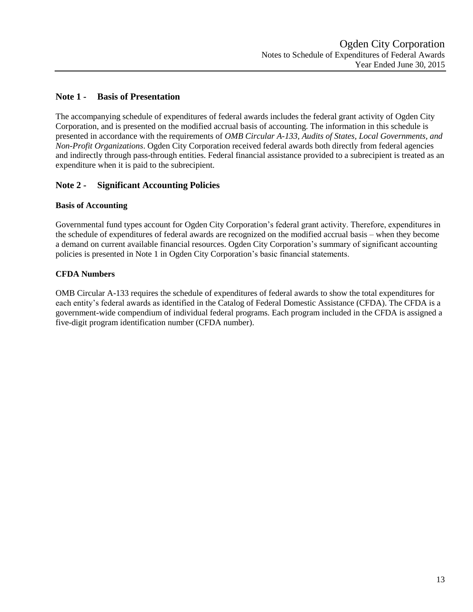## <span id="page-14-0"></span>**Note 1 - Basis of Presentation**

The accompanying schedule of expenditures of federal awards includes the federal grant activity of Ogden City Corporation, and is presented on the modified accrual basis of accounting. The information in this schedule is presented in accordance with the requirements of *OMB Circular A-133, Audits of States, Local Governments, and Non-Profit Organizations*. Ogden City Corporation received federal awards both directly from federal agencies and indirectly through pass-through entities. Federal financial assistance provided to a subrecipient is treated as an expenditure when it is paid to the subrecipient.

## **Note 2 - Significant Accounting Policies**

## **Basis of Accounting**

Governmental fund types account for Ogden City Corporation's federal grant activity. Therefore, expenditures in the schedule of expenditures of federal awards are recognized on the modified accrual basis – when they become a demand on current available financial resources. Ogden City Corporation's summary of significant accounting policies is presented in Note 1 in Ogden City Corporation's basic financial statements.

## **CFDA Numbers**

OMB Circular A-133 requires the schedule of expenditures of federal awards to show the total expenditures for each entity's federal awards as identified in the Catalog of Federal Domestic Assistance (CFDA). The CFDA is a government-wide compendium of individual federal programs. Each program included in the CFDA is assigned a five-digit program identification number (CFDA number).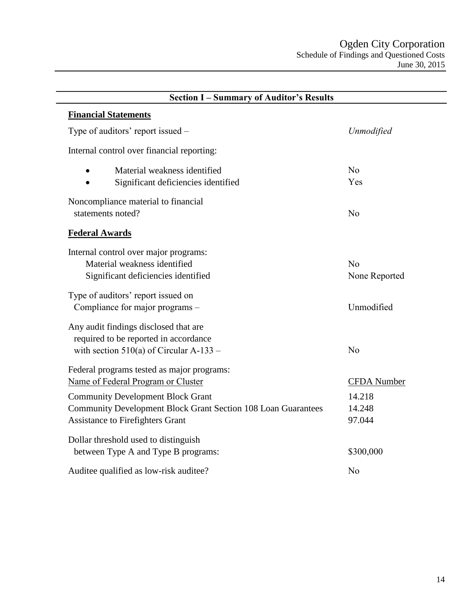<span id="page-15-0"></span>

| <b>Section I-Summary of Auditor's Results</b>                                                                                                        |                            |  |  |
|------------------------------------------------------------------------------------------------------------------------------------------------------|----------------------------|--|--|
| <b>Financial Statements</b>                                                                                                                          |                            |  |  |
| Type of auditors' report issued –                                                                                                                    | Unmodified                 |  |  |
| Internal control over financial reporting:                                                                                                           |                            |  |  |
| Material weakness identified<br>Significant deficiencies identified                                                                                  | No<br>Yes                  |  |  |
| Noncompliance material to financial<br>statements noted?                                                                                             | N <sub>o</sub>             |  |  |
| <b>Federal Awards</b>                                                                                                                                |                            |  |  |
| Internal control over major programs:<br>Material weakness identified<br>Significant deficiencies identified                                         | No<br>None Reported        |  |  |
| Type of auditors' report issued on<br>Compliance for major programs -                                                                                | Unmodified                 |  |  |
| Any audit findings disclosed that are<br>required to be reported in accordance<br>with section $510(a)$ of Circular A-133 –                          | N <sub>o</sub>             |  |  |
| Federal programs tested as major programs:<br>Name of Federal Program or Cluster                                                                     | <b>CFDA</b> Number         |  |  |
| <b>Community Development Block Grant</b><br>Community Development Block Grant Section 108 Loan Guarantees<br><b>Assistance to Firefighters Grant</b> | 14.218<br>14.248<br>97.044 |  |  |
| Dollar threshold used to distinguish<br>between Type A and Type B programs:                                                                          | \$300,000                  |  |  |
| Auditee qualified as low-risk auditee?                                                                                                               | N <sub>o</sub>             |  |  |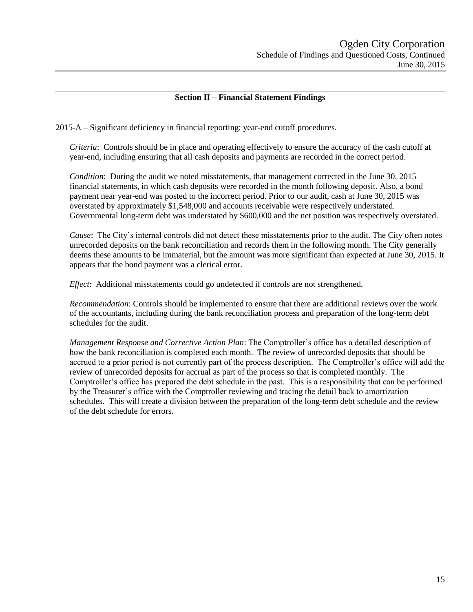### **Section II – Financial Statement Findings**

2015-A – Significant deficiency in financial reporting: year-end cutoff procedures.

*Criteria*: Controls should be in place and operating effectively to ensure the accuracy of the cash cutoff at year-end, including ensuring that all cash deposits and payments are recorded in the correct period.

*Condition*: During the audit we noted misstatements, that management corrected in the June 30, 2015 financial statements, in which cash deposits were recorded in the month following deposit. Also, a bond payment near year-end was posted to the incorrect period. Prior to our audit, cash at June 30, 2015 was overstated by approximately \$1,548,000 and accounts receivable were respectively understated. Governmental long-term debt was understated by \$600,000 and the net position was respectively overstated.

*Cause*: The City's internal controls did not detect these misstatements prior to the audit. The City often notes unrecorded deposits on the bank reconciliation and records them in the following month. The City generally deems these amounts to be immaterial, but the amount was more significant than expected at June 30, 2015. It appears that the bond payment was a clerical error.

*Effect*: Additional misstatements could go undetected if controls are not strengthened.

*Recommendation*: Controls should be implemented to ensure that there are additional reviews over the work of the accountants, including during the bank reconciliation process and preparation of the long-term debt schedules for the audit.

*Management Response and Corrective Action Plan*: The Comptroller's office has a detailed description of how the bank reconciliation is completed each month. The review of unrecorded deposits that should be accrued to a prior period is not currently part of the process description. The Comptroller's office will add the review of unrecorded deposits for accrual as part of the process so that is completed monthly. The Comptroller's office has prepared the debt schedule in the past. This is a responsibility that can be performed by the Treasurer's office with the Comptroller reviewing and tracing the detail back to amortization schedules. This will create a division between the preparation of the long-term debt schedule and the review of the debt schedule for errors.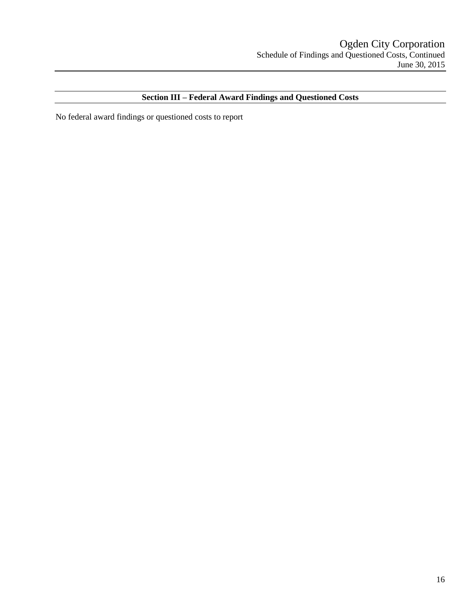## **Section III – Federal Award Findings and Questioned Costs**

No federal award findings or questioned costs to report